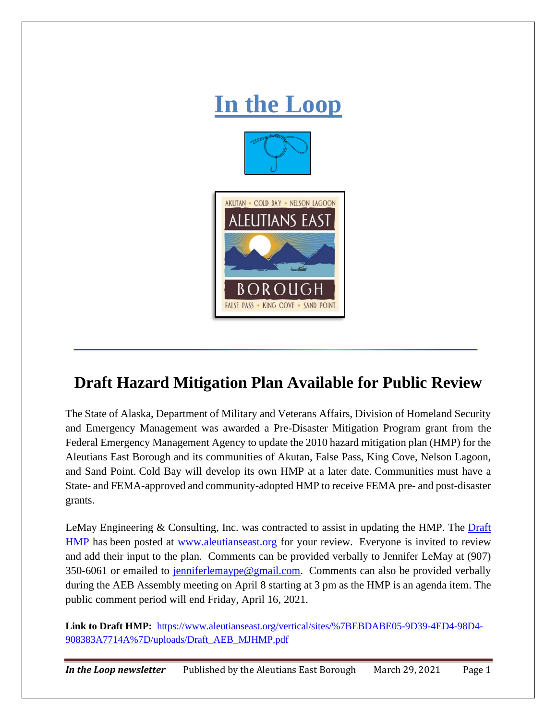

## **Draft Hazard Mitigation Plan Available for Public Review**

The State of Alaska, Department of Military and Veterans Affairs, Division of Homeland Security and Emergency Management was awarded a Pre-Disaster Mitigation Program grant from the Federal Emergency Management Agency to update the 2010 hazard mitigation plan (HMP) for the Aleutians East Borough and its communities of Akutan, False Pass, King Cove, Nelson Lagoon, and Sand Point. Cold Bay will develop its own HMP at a later date. Communities must have a State- and FEMA-approved and community-adopted HMP to receive FEMA pre- and post-disaster grants.

LeMay Engineering & Consulting, Inc. was contracted to assist in updating the HMP. The Draft [HMP](https://www.aleutianseast.org/vertical/sites/%7BEBDABE05-9D39-4ED4-98D4-908383A7714A%7D/uploads/Draft_AEB_MJHMP.pdf) has been posted at [www.aleutianseast.org](http://www.aleutianseast.org/) for your review. Everyone is invited to review and add their input to the plan. Comments can be provided verbally to Jennifer LeMay at (907) 350-6061 or emailed to [jenniferlemaype@gmail.com.](mailto:jlemay@lemayengineering.com) Comments can also be provided verbally during the AEB Assembly meeting on April 8 starting at 3 pm as the HMP is an agenda item. The public comment period will end Friday, April 16, 2021.

**Link to Draft HMP:** [https://www.aleutianseast.org/vertical/sites/%7BEBDABE05-9D39-4ED4-98D4-](https://www.aleutianseast.org/vertical/sites/%7BEBDABE05-9D39-4ED4-98D4-908383A7714A%7D/uploads/Draft_AEB_MJHMP.pdf) [908383A7714A%7D/uploads/Draft\\_AEB\\_MJHMP.pdf](https://www.aleutianseast.org/vertical/sites/%7BEBDABE05-9D39-4ED4-98D4-908383A7714A%7D/uploads/Draft_AEB_MJHMP.pdf)

*In the Loop newsletter* Published by the Aleutians East Borough March 29, 2021 Page 1